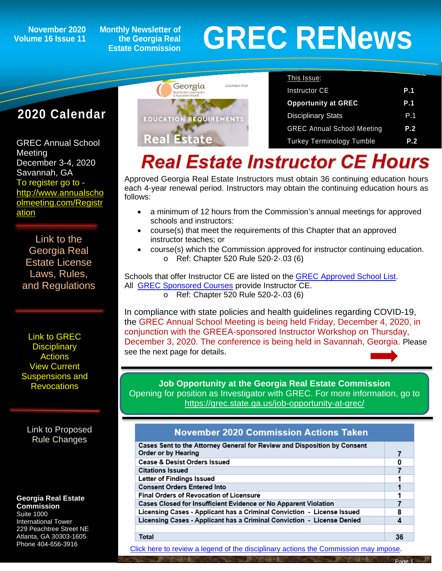#### **November 2020 Volume 16 Issue 11**

**Monthly Newsletter of the Georgia Real Estate Commission**

# **GREC RENewsGREC RENews**

### **2020 Calendar**

ĺ

GREC Annual School Meeting December 3-4, 2020 Savannah, GA To register go to [http://www.annualscho](http://www.annualschoolmeeting.com/Registration) [olmeeting.com/Registr](http://www.annualschoolmeeting.com/Registration) [ation](http://www.annualschoolmeeting.com/Registration)

[Link to the](https://grec.state.ga.us/information-research/license-law/)  [Georgia Real](https://grec.state.ga.us/information-research/license-law/)  [Estate License](https://grec.state.ga.us/information-research/license-law/)  [Laws, Rules,](https://grec.state.ga.us/information-research/license-law/)  [and Regulations](https://grec.state.ga.us/information-research/license-law/)

[Link to GREC](http://www.grec.state.ga.us/about/resanctions.html)  **Disciplinary** [Actions](http://www.grec.state.ga.us/about/resanctions.html) View Current [Suspensions and](https://grec.state.ga.us/information-research/disciplinary-actions/real-estate/)  **Revocations** 

[Link to Proposed](https://grec.state.ga.us/information-research/disciplinary-actions/real-estate/)  [Rule Changes](https://grec.state.ga.us/information-research/legislation/real-estate/)

### **Georgia Real Estate**

**Commission** Suite 1000 International Tower 229 Peachtree Street NE Atlanta, GA 30303-1605 Phone 404-656-3916



| This Issue:                       |     |
|-----------------------------------|-----|
| <b>Instructor CE</b>              | P.1 |
| <b>Opportunity at GREC</b>        | P.1 |
| <b>Disciplinary Stats</b>         | P.1 |
| <b>GREC Annual School Meeting</b> | P.2 |
| <b>Turkey Terminology Tumble</b>  | P.2 |

## **Real Estate Instructor CE Hours**

Approved Georgia Real Estate Instructors must obtain 36 continuing education hours each 4-year renewal period. Instructors may obtain the continuing education hours as follows:

- a minimum of 12 hours from the Commission's annual meetings for approved schools and instructors:
- course(s) that meet the requirements of this Chapter that an approved instructor teaches; or
	- course(s) which the Commission approved for instructor continuing education. o Ref: Chapter 520 Rule 520-2-.03 (6)

Schools that offer Instructor CE are listed on the [GREC Approved School List.](https://grec.state.ga.us/wp-content/uploads/pdfs/RE%20Approved%20Schools%20List.pdf) All **[GREC Sponsored Courses](https://grec.state.ga.us/education/)** provide Instructor CE. o Ref: Chapter 520 Rule 520-2-.03 (6)

In compliance with state policies and health guidelines regarding COVID-19, the GREC Annual School Meeting is being held Friday, December 4, 2020, in conjunction with the GREEA-sponsored Instructor Workshop on Thursday, December 3, 2020. The conference is being held in Savannah, Georgia. Please see the next page for details.

**Job Opportunity at the Georgia Real Estate Commission** Opening for position as Investigator with GREC. For more information, go to <https://grec.state.ga.us/job-opportunity-at-grec/>

### **November 2020 Commission Actions Taken**

| Cases Sent to the Attorney General for Review and Disposition by Consent |   |
|--------------------------------------------------------------------------|---|
| Order or by Hearing                                                      |   |
| Cease & Desist Orders Issued                                             |   |
| <b>Citations Issued</b>                                                  |   |
| Letter of Findings Issued                                                |   |
| <b>Consent Orders Entered Into</b>                                       |   |
| <b>Final Orders of Revocation of Licensure</b>                           |   |
| Cases Closed for Insufficient Evidence or No Apparent Violation          |   |
| Licensing Cases - Applicant has a Criminal Conviction - License Issued   | 8 |
| Licensing Cases - Applicant has a Criminal Conviction - License Denied   |   |
|                                                                          |   |
| Total                                                                    |   |

[Click here to review a legend of the disciplinary actions the Commission may impose.](https://www.jmre.com/grec/GRECDisciplinaryTools.pdf)

Page 1